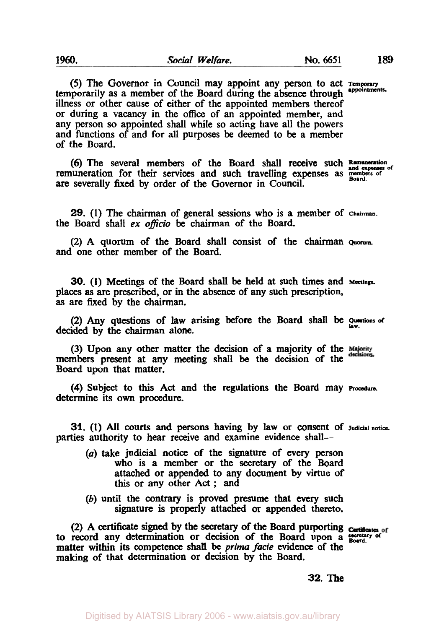*(5)* The Governor in Council may appoint any person **to** act **Temporary**  temporarily as a member of the Board during the absence through illness or other cause of either of the appointed members thereof or during **a** vacancy in the **office** of **an** appointed member, and any person so appointed shall while **so** acting have all the powers and functions of and for all purposes be deemed to be a member of the Board.

(6) The several members of the Board shall receive such Remuneration remuneration for their services and such travelling expenses as *members* of are severally fixed by order of the Governor in Council.

**29. (1)** The chairman of general sessions who is a member of **Chairman.**  the Board shall *ex officio* be chairman of the Board.

**(2)** A quorum of the Board shall consist of the chairman Quorum. and one other member **of** the Board.

**30.** (1) Meetings of the Board shall be held at such times and **Meetings.**  places as are prescribed, or in the absence of any such prescription, as are fixed by the chairman.

**(2)** Any questions of law arising before the Board shall be **Questions of law**  decided by the chairman alone.

(3) Upon any other matter the decision of a majority **of** the members present at any meeting shall be the decision of the Board upon that matter.

determine its **own** procedure. **(4)** Subject to this Act and the regulations the Board may **Procedure.** 

**31. (1)** All courts and persons having by law or consent of **Judicial notice.**  parties authority to hear receive and examine evidence shall-

- *(a)* take judicial notice **of** the signature of every person who is a member or the secretary of the Board attached or appended to any document **by** virtue of this or any other **Act** ; and
- (b) until the contrary is proved presume that every such signature is properly attached or appended thereto.

**(2)** A certificate signed by the secretary **of** the Board purporting to record any determination or decision **of** the Board upon a **secretary of Board.**  matter within its competence **shall** be *prima facie* evidence of the making **of** that determination or decision by the Board.

**32.** The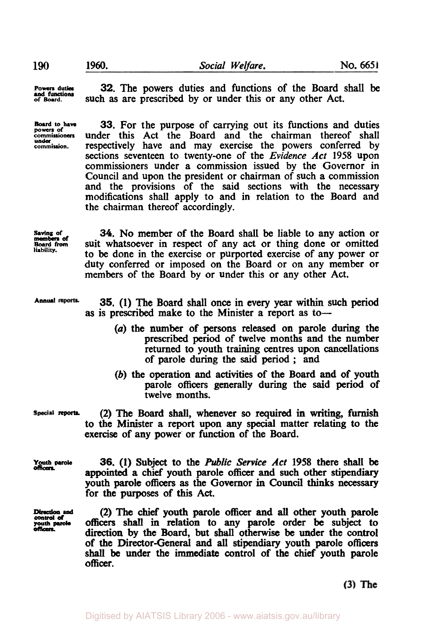**Powers duties of Board.** 

**under** 

**32.** The powers duties and functions of the Board shall be such as are prescribed by or under this or any other Act.

**Board to have 33.** For the purpose of carrying out its functions and duties under this Act the Board and the chairman thereof shall respectively have and may exercise the powers conferred by sections seventeen to twenty-one of the *Evidence Act* **1958** upon commissioners under a commission issued **by** the Governor in Council and upon the president or chairman of such a commission and the provisions of the said sections with the necessary modifications shall apply to and in relation to the Board and the chairman thereof accordingly.

**saving of Board from**  members **of liability.** 

*34.* **No** member of the Board shall be liable to any action or suit whatsoever in respect of any act or thing done or omitted to be done in the exercise or purported exercise of any power or duty conferred or imposed on the Board or on any member **or**  members **of** the Board by or under this or any other Act.

**Annual 35. (1)** The Board shall once in every year within such period **as** is prescribed make to the Minister a report as to-

- *(a)* the number of persons released **on** parole during the prescribed period of twelve months and the number returned to youth training centres upon cancellations of parole during the said period ; and
- (b) the operation and activities of the Board and of youth parole officers generally during the said period of twelve months.

**(2)** The Board **shall,** whenever **so** required in writing, furnish to the Minister a report upon any **special** matter relating to the

Special reports.

*officers.* 

Youth **Parole 36.** (1) Subject **to** the Public Service Act **1958** there shall be **appointed a** chief youth parole officer and such other stipendiary youth parole officers **as** the Governor in Council **thinks** necessary for the purposes **of this Act.** 

exercise of any power' or function of the Board.

**control** *of officers.* 

**Direction and (2)** The chief youth parole officer and **all** other youth parole **youth parole** officers **shall** in relation to any parole order **be** subject to **direction** by the Board, but **shall** otherwise be under the **control**  of the Director-General and all stipendiary youth parole officers shall be under the immediate control **of** the chief youth parole officer.

 $(3)$  The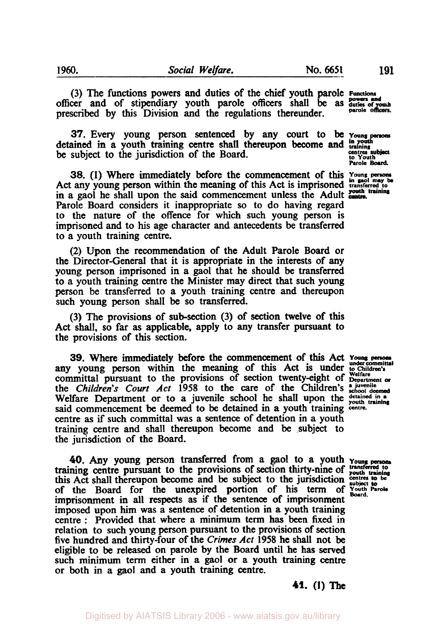(3) The functions powers and duties of the chief youth parole Functions officer and of stipendiary youth parole officers shall be as duties of youth prescribed by **this** Division and the regulations thereunder. **parole** 

**37.** Every young person sentenced by any court to **be** *Young persons in youth*  detained in a youth training centre shall thereupon become and **training**  be subject to the jurisdiction of the Board. **CALL CONS** CONTINUES subject

**38.** (1) Where immediately before the commencement of this Young persons Act any young person within the meaning of this Act is imprisoned transferred to in a gaol he shall upon the said commencement unless the Adult centre. Parole Board considers it inappropriate **so** to do having regard **to** the nature of the offence for which such young person is imprisoned and to his age character and antecedents be transferred to a youth training centre.

(2) Upon the recommendation of the Adult Parole Board or the Director-General that it is appropriate in the interests of any young **person** imprisoned in a gaol that he should be transferred to a youth training centre the Minister may direct that such young person be transferred to a youth training centre and thereupon such young person shall be **so** transferred.

(3) The provisions of sub-section (3) of section twelve of this Act shall, **so** far **as** applicable, apply to any transfer pursuant to the provisions of this section.

**39.** Where immediately before the commencement of this **Act** Young persons under committal any young person within the meaning of this Act is under **to Children's** committal pursuant to the provisions of section twenty-eight of  $_{\text{Department of}}^{\text{Weltare}}$ the *Children's Court Act* 1958 to the care of the Children's **a** juvenile Welfare Department or to a juvenile school he shall upon the **detained** in a Welfare Department or to a juvenile school he shall upon the **youth** training said commencement be deemed to be detained in a youth training centre. centre **as** if' such committal was a sentence of detention in a youth training centre and shall thereupon become and be subject to the jurisdiction of the Board.

*40.* Any young person transferred from a gaol to a youth **Young persons**  this Act shall thereupon become and be subject to the jurisdiction centres to be of the Board for the unexpired portion of **his** term of **Youth Parole Board**  imprisonment in all respects as if the sentence of imprisonment imposed upon **him** was a sentence of detention in a youth training centre : Provided that where a minimum term has been fixed in relation to such young person pursuant to the provisions of section five hundred and thirty-four of the *Crimes Act* **1958** he shall not be eligible to be released on parole by the Board until he has **served**  such minimum term either in a gaol or a youth training centre or both in a gaol and a youth training centre. **transferred to** training centre pursuant to the provisions of section thirty-nine of **youth training** 

Parole **Board**.

*41.* **(1) The**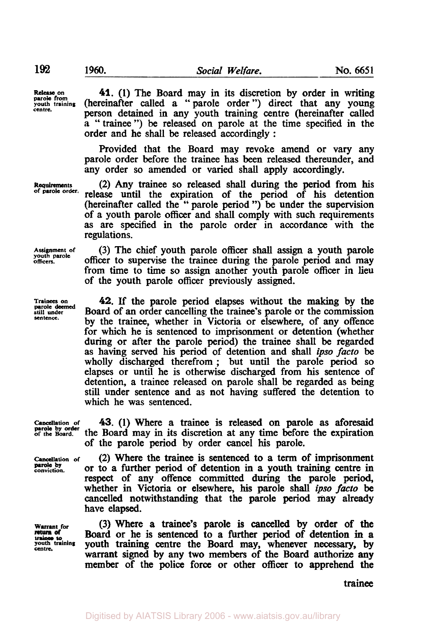**Release on parole from youth training centre.** 

**Requirements of parole order.** 

**Assignment of youth parole officers.** 

**Trainees on parole deemed still under sentence.** 

*41.* (1) The Board may in its discretion by order in writing (hereinafter called a "parole order") direct that any young person detained in any youth training centre (hereinafter called a "trainee") be released on parole at the time specified in the order and he shall be released accordingly :

Provided that the Board may revoke amend or vary any parole order before the trainee has been released thereunder, and any order **so** amended or varied shall apply accordingly.

(2) Any trainee so released shall during the period from **his**  release until the expiration of the period of **his** detention (hereinafter called the " parole period ") be under the supervision of a youth parole officer and shall comply with such requirements **as** are specified in the parole order in accordance with the regulations.

(3) The chief youth parole officer shall assign a youth parole officer to supervise the trainee during the parole period and may from time to time so assign another youth parole officer in lieu of the youth parole officer previously assigned.

*42.* If the parole period elapses without the making by the Board of an order cancelling the trainee's parole or the commission by the trainee, whether in Victoria or elsewhere, of any offence for which he is sentenced to imprisonment or detention (whether during or after the parole period) the trainee shall be regarded as having served his period of detention and shall *ipso facto* be wholly discharged therefrom ; but until the parole period **so**  elapses or until he is otherwise discharged from his sentence of detention, a trainee released on parole shall be regarded as being still under sentence and **as** not having suffered the detention to which he was sentenced.

**Cancellation or of the Board. parole by order** 

**Cancellation of parole by conviction.** 

**43.** (1) Where a trainee is released on parole **as** aforesaid the Board may **in** its discretion at any time before the expiration of the parole period by order cancel **his** parole.

(2) Where the trainee is sentenced to a term of imprisonment or to a further period of detention in a youth training centre in respect of any offence committed during the parole period, whether in Victoria or elsewhere, **his** parole shall ipso *facto* be cancelled notwithstanding that the parole period may already have elapsed.

Warrant for (3) Where a trainee's parole is cancelled by order of the return of Board or he is sentenced to a further period of detention in a *trainion* vouth training centre the Board may, whenever necessary, by Board or he is sentenced to a further period of detention in a **youth centre. training** youth training centre the Board may, whenever necessary, **by**  warrant signed by any two members of **the** Board authorize **any**  member of the police force or other officer to apprehend the

trainee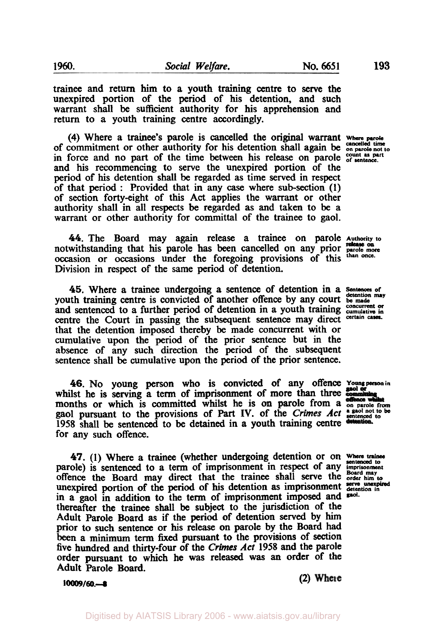trainee and return him to a youth training centre to serve the unexpired portion of the period of his detention, and such warrant shall be sufficient authority for his apprehension and return to a youth training centre accordingly.

**(4)** Where a trainee's parole is cancelled the original warrant **where parole**  of commitment or other authority for his detention shall again be **cancelled time on parole not to**  in force and no part of the time between his release on parole  $\frac{count}{of}$  sentence. and his recommencing to serve the unexpired portion of the period of his detention shall be regarded **as** time served in respect of that period : Provided that in any *case* where sub-section (I) of section forty-eight of this **Act** applies the warrant or other authority shall in all respects be regarded **as** and taken to be a warrant or other authority for committal of the trainee to gaol.

*44.* The Board may again release a trainee on parole **Authority to**  notwithstanding that his parole **has** been cancelled on any prior **parole more release on**  occasion or occasions under the foregoing provisions of this **than once.**  Division in respect of the same period of detention.

*45.* Where **a** trainee undergoing a sentence of detention in a *Sentences of detention may*  youth **training** centre is convicted of another offence by any court **be** made and sentenced to a further period of detention in a youth training concurrent or control to a further period of detention in a youth training concurrent or certain cases. centre the Court in passing the subsequent sentence may direct that the detention imposed thereby be made concurrent with or cumulative upon the period of the prior sentence but in the absence of any such direction the period of the subsequent sentence shall be cumulative upon the period of the prior sentence.

*46.* No young person who is convicted of any offence **Young person in**  whilst he is serving a term of imprisonment of more than three months or which is committed whilst he is on parole from a **on parole from**  gaol pursuant to the provisions of Part IV. of the *Crimes Act* a gaol not to be 1958 shall be sentenced to be detained in a youth training centre detention. for any such offence.

*47.* (I) Where a trainee (whether undergoing detention or on *Where trainee sentenced to*  parole) is sentenced to a term of imprisonment in respect of any imprisonment offence the Board may direct that the trainee shall serve the **order** him **to,**  unexpired portion of the period of his detention **as** imprisonment **detention in**  serve unexpired in a gaol in addition to the term of imprisonment imposed and said. thereafter the trainee shall be subject to the jurisdiction of the Adult Parole Board **as** if the period of detention served by him prior to such sentence or **his** release on parole by the Board had been a minimum term fixed pursuant to the provisions of section five hundred and thirty-four of the *Crimes* Act 1958 and the parole order pursuant to which he was released was an order of the Adult Parole Board.

**10009/60.-s (2)** 

**193** 

**gaol**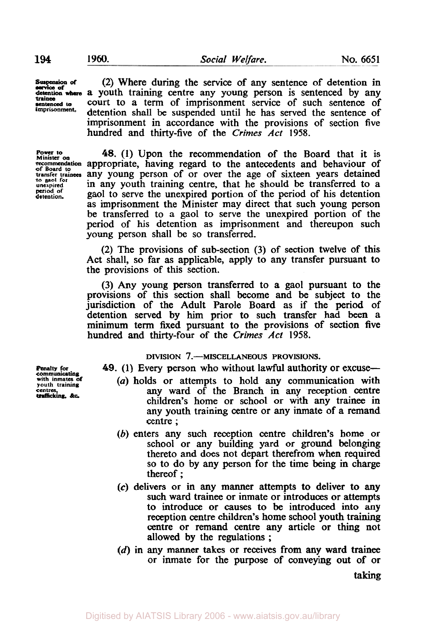**Suspension of** (2) Where during the service of any sentence of detention in

**Suspension of**<br>**service of**<br>detention whe **trainee imprisonment.** 

**of Board to transfer trainees to gaol for unexpired detention. period, of** 

a youth training centre any young person is sentenced by any **sentenced to** court to a term of imprisonment service of such sentence of detention shall be suspended until he has served the sentence of imprisonment in accordance with the provisions of section five hundred and thirty-five of the *Crimes* Act 1958.

**Power to 48.** (1) Upon the recommendation of the Board that it is <br> **Power to** must appropriate, having regard to the antecedents and behaviour of *48.* (1) Upon the recommendation of the Board that it is any young person of or over the age of sixteen years detained in any youth training centre, that he should be transferred to a gaol to serve the unexpired portion of the period of his detention as imprisonment the Minister may direct that such young person be transferred to a gaol to serve the unexpired portion of the period of **his** detention as imprisonment and thereupon such young person shall be so transferred.

> (2) The provisions of sub-section (3) of section twelve of this Act shall, so far **as** applicable, apply to any transfer pursuant to the provisions of this section.

> (3) Any young person transferred to a gaol pursuant to the provisions of this section shall become and be subject to the jurisdiction of the Adult Parole Board as if the period of detention served by him prior to such transfer had been a minimum term fixed pursuant to the provisions of section five hundred and thirty-four of the *Crimes Act* **1958.**

## **DIVISION 7.-MISCELLANEOUS PROVISIONS.**

**49.** (1) Every person who without lawful authority or excuse-

- **with youth inmates training of** *(a)* holds or attempts to hold any communication with any ward of the Branch in any reception centre children's home or school or with any trainee in any youth training centre or any inmate of a remand centre ;
- (b) enters any such reception centre children's home or school or any building yard or ground belonging thereto and does not depart therefrom when required so to do by any person for the time being in charge thereof ;
- *(c)* delivers or in any manner attempts to deliver to any such ward trainee or inmate or introduces or attempts to introduce or causes to be introduced into any reception centre children's home school youth training centre or remand centre any article or thing not allowed **by** the regulations ;
- (d) in any manner takes or receives from any ward trainee or inmate for the purpose of conveying out of or

taking

**Penalty for<br>communicating<br>with inmates of<br>youth training trafficking,** &c.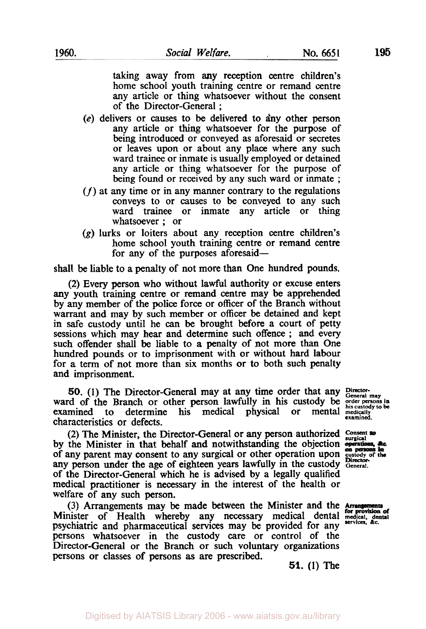taking away from any reception centre children's home school youth training centre or remand centre any article or thing whatsoever without the consent of the Director-General ;

- **(e)** delivers or causes to be delivered to any other person any article or thing whatsoever for the purpose of being introduced or conveyed as aforesaid or secretes or leaves upon or about any place where any such ward trainee or inmate is usually employed or detained any article or thing whatsoever for the purpose of being found or received by any such ward or inmate ;
- *(f)* at any time or in any manner contrary to the regulations conveys to or causes to be conveyed to any such ward trainee or inmate any article or thing whatsoever ; or
- **(g)** lurks or loiters about any reception centre children's home school youth training centre or remand centre for any of the purposes aforesaid-

shall be liable to **a** penalty of not more than One hundred pounds.

(2) Every person who without lawful authority or excuse enters any youth training centre or remand centre may be apprehended by any member of the **police** force or officer of the Branch without warrant and may by such member or officer be detained and kept in safe custody until he can be brought before a court of petty sessions which may hear and determine such offence ; and every such offender shall be liable to a penalty of not more than One hundred pounds or to imprisonment with or without hard labour for a term of not more than six months or to both such penalty and imprisonment.

*50.* **(1)** The Director-General may at any time order that any **Director-General may**  ward of the Branch or other person lawfully in his custody be *order persons* in examined to determine his medical physical or mental medically examined.

(2) The Minister, the Director-General or any person authorized Consent to by the Minister in that behalf and notwithstanding the objection on persons of any parent may consent to any surgical or other operation upon **custody of the**  any person under the age of eighteen years lawfully in the custody General. of the Director-General which he is advised by a legally qualified medical practitioner is necessary in the interest of the health or welfare of any such person.

(3) Arrangements may be made between the Minister and the Minister of Health whereby any necessary medical dental **medical. dental**  psychiatric and pharmaceutical **services** may be provided for any *services.* **&c.**  persons whatsoever in the custody care or control of the Director-General or the Branch or such voluntary organizations persons or classes of persons **as** are prescribed.

**51. (1)** The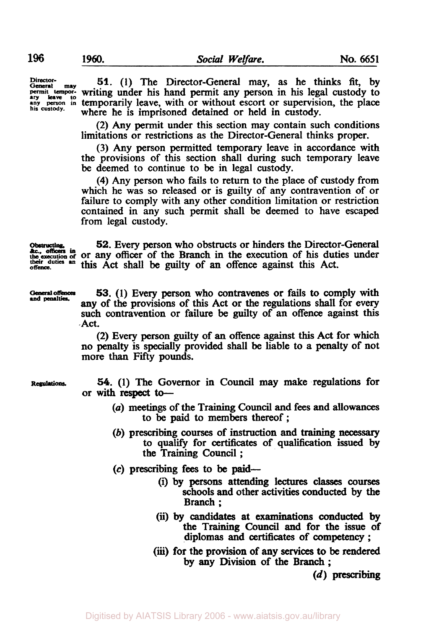**Director-** *General* **may 51.** (1) The Director-General may, as he thinks fit, by **permit tempor-** writing under his hand permit any person in his legal custody to any leave to in temporarily leave. with or without escort or supervision, the place any person in temporarily leave, with or without escort or supervision, the place where he is imprisoned detained or held in custody.

> (2) Any permit under this section may contain such conditions limitations or restrictions as the Director-General thinks proper.

> (3) Any person permitted temporary leave in accordance with the provisions of this section shall during such temporary leave be deemed to continue to be in legal custody.

> **(4)** Any person who fails to return to the place of custody from which he was **so** released or is guilty of any contravention of or failure to comply with any other condition limitation or restriction contained in any such permit shall be deemed to have escaped from legal custody.

*Obstruction* **52.** Every person who obstructs or hinders the Director-General *the execution of or any officer of the Branch in the execution of his duties under**b**in**c***.** their duties an this Act shall be guilty of an offence against this Act.

**General offences**<br>and **penalties**.

**53.** (1) Every person who contravenes or fails to comply with any of the provisions of this Act or the regulations shall for every such contravention or failure be guilty of **an** offence against this Act.

**(2)** Every person **guilty** of an offence against *this* Act for which no penalty is specially provided **shall** be liable to a penalty of not more than Fifty pounds.

**Regulations.** *54.* (1) The Governor in Council may make regulations for or with respect to-

- *(a)* meetings of the Training Council and fees and allowances to be paid to members thereof ;
- (b) prescribing courses of instruction and training **necessary**  to qualify for certificates of qualification issued by the Training Council ;
- **(c)** prescribing fees to be **paid-** 
	- (i) by persons attending lectures **classes courses**  schools and other activities conducted by the Branch ;
	- (ii) by **candidates** at examinations **conducted** by the Training Council and for the issue of diplomas and certificates of competency ;
	- **(iii)** for the provision of any **services** to be rendered by any Division of the Branch ;

(d) prescribing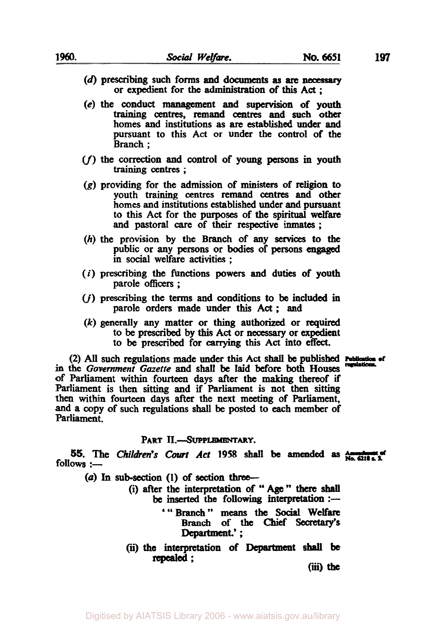- (d) prescribing such forms **and** documents **as** *are necessary*  or expedient for the administration **of this** Act ;
- **(e)** the conduct management and supervision **of** youth training centres, remand centres and such **other**  homes and institutions **as** are established under and pursuant to this **Act** or under the control of the Branch ;
- *(f)* the **correction** and **control** of young **persons** in youth training centres ;
- **(g)** providing for the admission of **ministers** of religion to youth training centres remand centres and other homes and institutions established under and pursuant to *this* Act for the purposes of the spiritual *welfare*  and pastoral *care* of their respective **inmates;**
- (h) the provision by the Branch of any **services** to the public or any **persons** or bodies of **persons** *engaged*  in **social** welfare activities ;
- *(i)* prescribing the functions powers and duties **of** youth parole **officers** ;
- (j) prescribing the terms and conditions to be included in parole orders made under this Act; and
- *(k)* generally any matter or thing authorized or required to be prescribed by *this* Act or necessary or expedient to be prescribed for **carrying** this Act into effect.

(2) *All* such regulations made under **this** Act **shall** be published *Publication of regulations*  in the *Government Gazette* and **shall be** laid before both **Houses**  of Parliament within fourteen days after the making thereof if Parliament is then sitting and if Parliament is not then sitting then within fourteen days after the next meeting of Parliament, and a copy of such regulations **shall be** posted to each member of parliament.

## PART II.-SUPPLEMENTARY.

**55.** The *Children's Court Act* 1958 shall be amended as  $\frac{\text{Amount of 1958}}{\text{No. 6218 A. 3}}$ **PART II.**—SUPPLEMENTARY.<br>
The *Children's Court Act* 1958 shall be<br>
(a) In sub-section (1) of section three—<br>
(i) after the interpretation of "Age

- 
- (a) In sub-section (1) of section three—<br>(i) after the interpretation of "Age" there shall be inserted the following interpretation  $:$ --
	- "'Branch" **means the Social** Welfare Branch of **the Chief Secretary's**  Department.' ;
	- **(ii) the** interpretation **of** Department **shall be**  repealed ;

(iii) the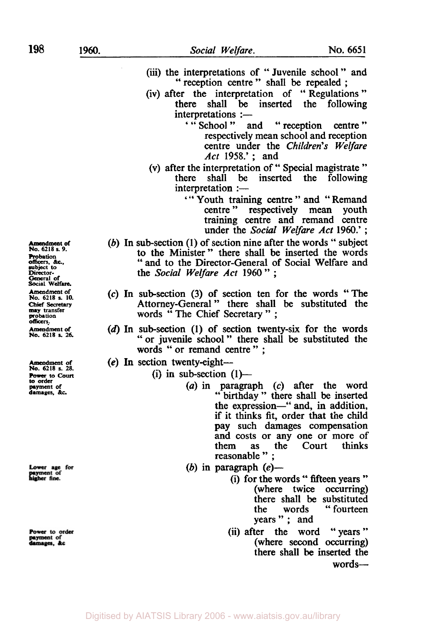**198** 

- **(iii)** the interpretations of " Juvenile school " and '' reception centre " shall be repealed ;
- (iv) after the interpretation of " Regulations " there shall be inserted the following  $interpretations :=$ 
	- ' " School " and " reception centre " respectively mean school and reception centre under the *Children's Welfare Act* **1958.'** ; and
- (v) after the interpretation of "Special magistrate"<br>there shall be inserted the following shall be inserted the following  $interpretation :=$ 
	- ' " Youth training centre " and " Remand outh training centre and Remand<br>centre " respectively mean youth training centre and remand centre under the Social *Welfare Act* 1960.' ;
- (b) In sub-section  $(1)$  of section nine after the words " subject to the Minister" there shall be inserted the words " and to the Director-General of Social Welfare and the *Social Welfare Act* <sup>1960</sup>" ;
- **(c)** In sub-section (3) of section ten for the words "The Attorney-General " there shall be substituted the words " The Chief Secretary " ;
- (d) In sub-section **(1)** of section twenty-six for the words "or juvenile school" there shall be substituted the words " or remand centre " ;
- *(e)* In section twenty-eight-
	- (i) in sub-section  $(1)$ 
		- *(a)* in paragraph *(c)* after the word " birthday " there shall be inserted the expression-" and, in addition, if it thinks fit, order that the child pay such damages compensation and costs or any one or more of<br>them as the Court thinks as the Court reasonable " :
		- (b) in paragraph *(e)-* 
			- (i) for the words " fifteen years " (where twice occurring) there shall be substituted the words "fourteen years" ; and
			- (ii) after the word "years" (where second occurring) there shall **be** inserted the **words-**

*Amendment of* **No. 6218 s.** *9.*  **Probation officers,** &c.. **subject** *to* **Director-General of Social Welfare.**  Amendment **of No. 6218 s. 10.**  Chief Secretary **may transfer probation officers.**  *Amendment of*  **No. 6218** *s. 26.* 

**Amendment of No. 6218 s. 28. Power to** *Court* **to order payment of damages.** *&c.* 

ower age for payment of

Power to order ayment of lamages, &c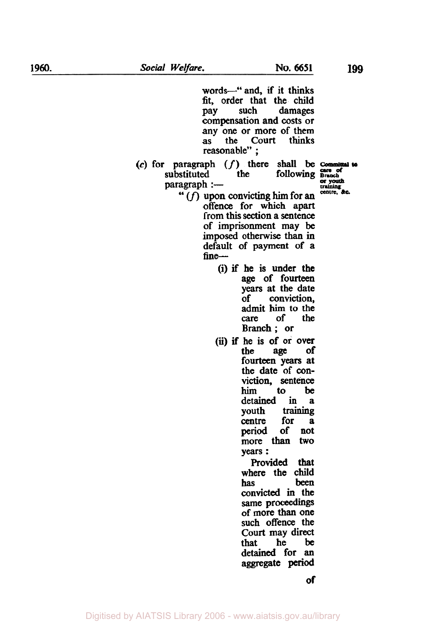words-"and, if it thinks **fit,** order that the child pay such damages compensation and costs or any one or more of them as the Court thinks reasonable" ;

 $(c)$  for paragraph  $(f)$  there shall be **Committal to** substituted the following  $\frac{c}{area}$ substituted the following **Brach** paragraph :--substituted

- $\text{paragnh} := \text{convicting him for an}$ offence for which apart **from** this **section** a **sentence**  of imprisonment may **be**  imposed otherwise than in default of payment of a fine-
	- (i) if he is under the age of fourteen years at the date of **conviction,**  admit him to the care of the Branch; or
	- *(ii)* if he is of or **over**  age fourteen **years** at the date of **con**viction, sentence **him** to be detained in a youth **training**  centre for **a period** of not more **than** two years : Provided that

where the child<br>has been has **been convicted** in the same proceedings of more **than** one such offence the Court may direct that he be detained for **an**  aggregate **period**